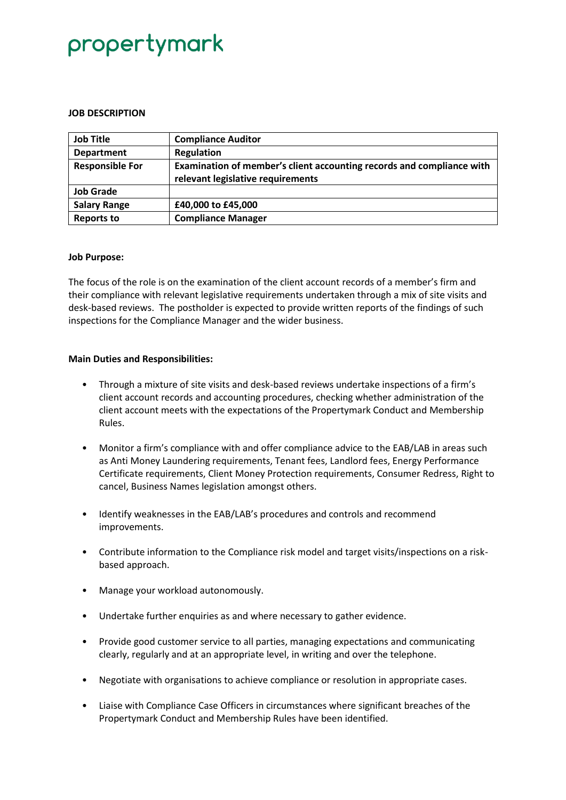# propertymark

### **JOB DESCRIPTION**

| <b>Job Title</b>       | <b>Compliance Auditor</b>                                             |
|------------------------|-----------------------------------------------------------------------|
| <b>Department</b>      | Regulation                                                            |
| <b>Responsible For</b> | Examination of member's client accounting records and compliance with |
|                        | relevant legislative requirements                                     |
| <b>Job Grade</b>       |                                                                       |
| <b>Salary Range</b>    | £40,000 to £45,000                                                    |
| <b>Reports to</b>      | <b>Compliance Manager</b>                                             |

### **Job Purpose:**

The focus of the role is on the examination of the client account records of a member's firm and their compliance with relevant legislative requirements undertaken through a mix of site visits and desk-based reviews. The postholder is expected to provide written reports of the findings of such inspections for the Compliance Manager and the wider business.

## **Main Duties and Responsibilities:**

- Through a mixture of site visits and desk-based reviews undertake inspections of a firm's client account records and accounting procedures, checking whether administration of the client account meets with the expectations of the Propertymark Conduct and Membership Rules.
- Monitor a firm's compliance with and offer compliance advice to the EAB/LAB in areas such as Anti Money Laundering requirements, Tenant fees, Landlord fees, Energy Performance Certificate requirements, Client Money Protection requirements, Consumer Redress, Right to cancel, Business Names legislation amongst others.
- Identify weaknesses in the EAB/LAB's procedures and controls and recommend improvements.
- Contribute information to the Compliance risk model and target visits/inspections on a riskbased approach.
- Manage your workload autonomously.
- Undertake further enquiries as and where necessary to gather evidence.
- Provide good customer service to all parties, managing expectations and communicating clearly, regularly and at an appropriate level, in writing and over the telephone.
- Negotiate with organisations to achieve compliance or resolution in appropriate cases.
- Liaise with Compliance Case Officers in circumstances where significant breaches of the Propertymark Conduct and Membership Rules have been identified.